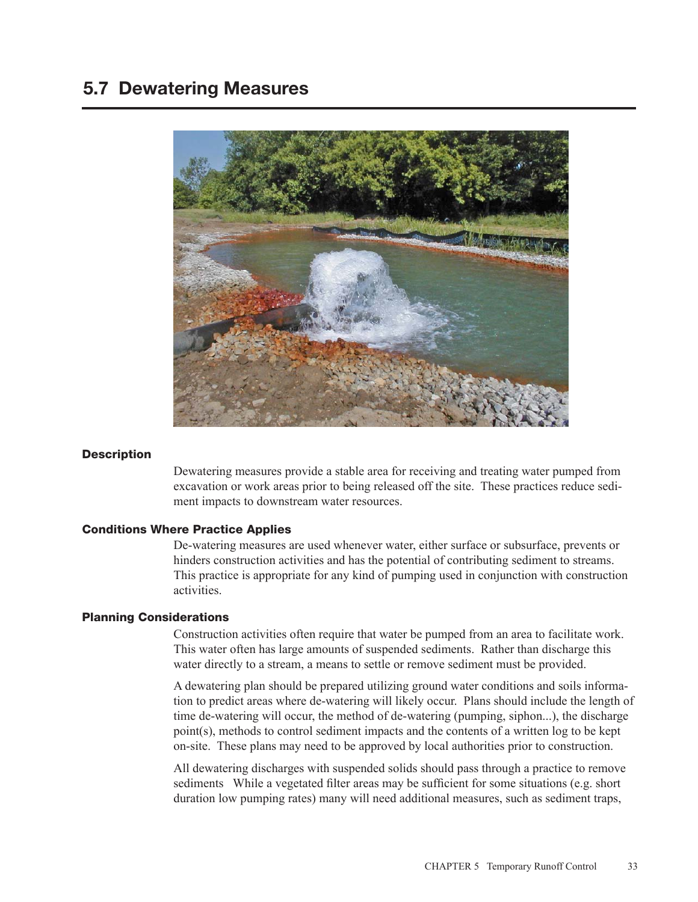# 5.7 Dewatering Measures



#### **Description**

Dewatering measures provide a stable area for receiving and treating water pumped from excavation or work areas prior to being released off the site. These practices reduce sediment impacts to downstream water resources.

## Conditions Where Practice Applies

De-watering measures are used whenever water, either surface or subsurface, prevents or hinders construction activities and has the potential of contributing sediment to streams. This practice is appropriate for any kind of pumping used in conjunction with construction activities.

### Planning Considerations

Construction activities often require that water be pumped from an area to facilitate work. This water often has large amounts of suspended sediments. Rather than discharge this water directly to a stream, a means to settle or remove sediment must be provided.

A dewatering plan should be prepared utilizing ground water conditions and soils information to predict areas where de-watering will likely occur. Plans should include the length of time de-watering will occur, the method of de-watering (pumping, siphon...), the discharge point(s), methods to control sediment impacts and the contents of a written log to be kept on-site. These plans may need to be approved by local authorities prior to construction.

All dewatering discharges with suspended solids should pass through a practice to remove sediments While a vegetated filter areas may be sufficient for some situations (e.g. short duration low pumping rates) many will need additional measures, such as sediment traps,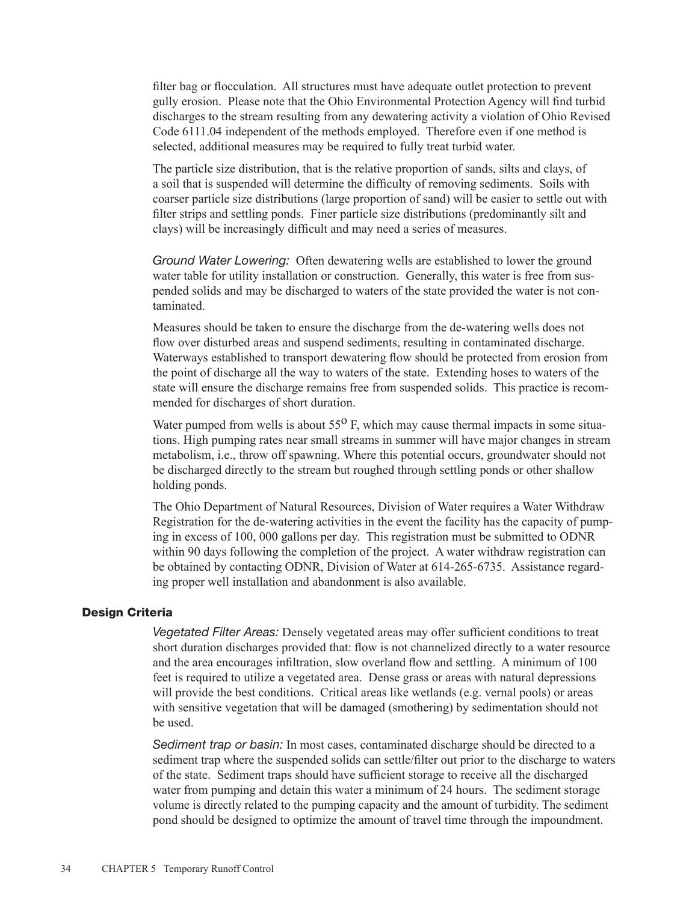filter bag or flocculation. All structures must have adequate outlet protection to prevent gully erosion. Please note that the Ohio Environmental Protection Agency will find turbid discharges to the stream resulting from any dewatering activity a violation of Ohio Revised Code 6111.04 independent of the methods employed. Therefore even if one method is selected, additional measures may be required to fully treat turbid water.

The particle size distribution, that is the relative proportion of sands, silts and clays, of a soil that is suspended will determine the difficulty of removing sediments. Soils with coarser particle size distributions (large proportion of sand) will be easier to settle out with filter strips and settling ponds. Finer particle size distributions (predominantly silt and clays) will be increasingly difficult and may need a series of measures.

*Ground Water Lowering:* Often dewatering wells are established to lower the ground water table for utility installation or construction. Generally, this water is free from suspended solids and may be discharged to waters of the state provided the water is not contaminated.

Measures should be taken to ensure the discharge from the de-watering wells does not flow over disturbed areas and suspend sediments, resulting in contaminated discharge. Waterways established to transport dewatering flow should be protected from erosion from the point of discharge all the way to waters of the state. Extending hoses to waters of the state will ensure the discharge remains free from suspended solids. This practice is recommended for discharges of short duration.

Water pumped from wells is about  $55^{\circ}$  F, which may cause thermal impacts in some situations. High pumping rates near small streams in summer will have major changes in stream metabolism, i.e., throw off spawning. Where this potential occurs, groundwater should not be discharged directly to the stream but roughed through settling ponds or other shallow holding ponds.

The Ohio Department of Natural Resources, Division of Water requires a Water Withdraw Registration for the de-watering activities in the event the facility has the capacity of pumping in excess of 100, 000 gallons per day. This registration must be submitted to ODNR within 90 days following the completion of the project. A water withdraw registration can be obtained by contacting ODNR, Division of Water at 614-265-6735. Assistance regarding proper well installation and abandonment is also available.

## Design Criteria

*Vegetated Filter Areas:* Densely vegetated areas may offer sufficient conditions to treat short duration discharges provided that: flow is not channelized directly to a water resource and the area encourages infiltration, slow overland flow and settling. A minimum of 100 feet is required to utilize a vegetated area. Dense grass or areas with natural depressions will provide the best conditions. Critical areas like wetlands (e.g. vernal pools) or areas with sensitive vegetation that will be damaged (smothering) by sedimentation should not be used.

*Sediment trap or basin:* In most cases, contaminated discharge should be directed to a sediment trap where the suspended solids can settle/filter out prior to the discharge to waters of the state. Sediment traps should have sufficient storage to receive all the discharged water from pumping and detain this water a minimum of 24 hours. The sediment storage volume is directly related to the pumping capacity and the amount of turbidity. The sediment pond should be designed to optimize the amount of travel time through the impoundment.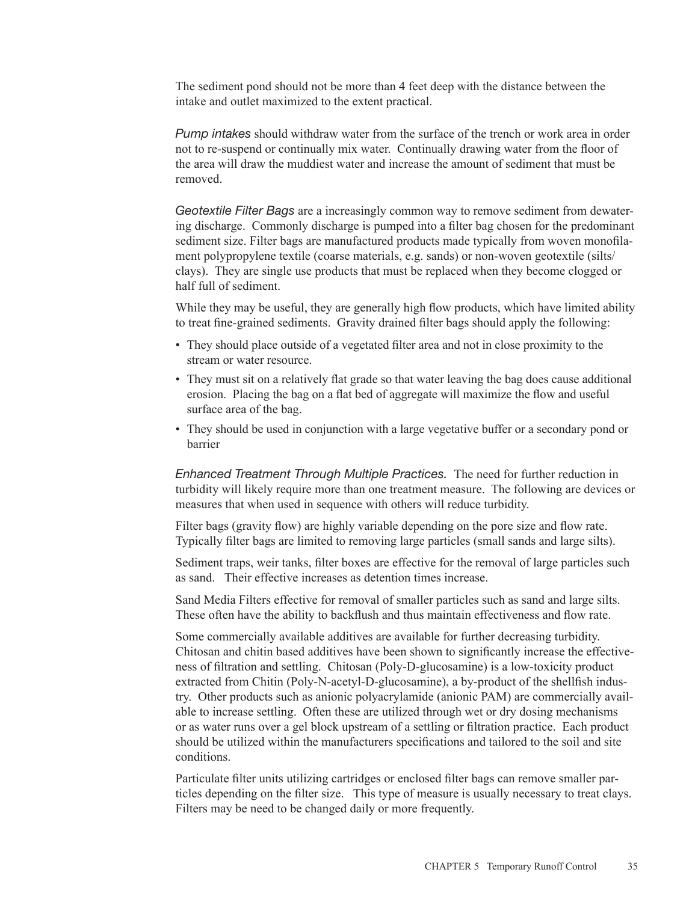The sediment pond should not be more than 4 feet deep with the distance between the intake and outlet maximized to the extent practical.

*Pump intakes* should withdraw water from the surface of the trench or work area in order not to re-suspend or continually mix water. Continually drawing water from the floor of the area will draw the muddiest water and increase the amount of sediment that must be removed.

*Geotextile Filter Bags* are a increasingly common way to remove sediment from dewatering discharge. Commonly discharge is pumped into a filter bag chosen for the predominant sediment size. Filter bags are manufactured products made typically from woven monofilament polypropylene textile (coarse materials, e.g. sands) or non-woven geotextile (silts/ clays). They are single use products that must be replaced when they become clogged or half full of sediment.

While they may be useful, they are generally high flow products, which have limited ability to treat fine-grained sediments. Gravity drained filter bags should apply the following:

- They should place outside of a vegetated filter area and not in close proximity to the stream or water resource.
- They must sit on a relatively flat grade so that water leaving the bag does cause additional erosion. Placing the bag on a flat bed of aggregate will maximize the flow and useful surface area of the bag.
- They should be used in conjunction with a large vegetative buffer or a secondary pond or barrier

*Enhanced Treatment Through Multiple Practices.* The need for further reduction in turbidity will likely require more than one treatment measure. The following are devices or measures that when used in sequence with others will reduce turbidity.

Filter bags (gravity flow) are highly variable depending on the pore size and flow rate. Typically filter bags are limited to removing large particles (small sands and large silts).

Sediment traps, weir tanks, filter boxes are effective for the removal of large particles such as sand. Their effective increases as detention times increase.

Sand Media Filters effective for removal of smaller particles such as sand and large silts. These often have the ability to backflush and thus maintain effectiveness and flow rate.

Some commercially available additives are available for further decreasing turbidity. Chitosan and chitin based additives have been shown to significantly increase the effectiveness of filtration and settling. Chitosan (Poly-D-glucosamine) is a low-toxicity product extracted from Chitin (Poly-N-acetyl-D-glucosamine), a by-product of the shellfish industry. Other products such as anionic polyacrylamide (anionic PAM) are commercially available to increase settling. Often these are utilized through wet or dry dosing mechanisms or as water runs over a gel block upstream of a settling or filtration practice. Each product should be utilized within the manufacturers specifications and tailored to the soil and site conditions.

Particulate filter units utilizing cartridges or enclosed filter bags can remove smaller particles depending on the filter size. This type of measure is usually necessary to treat clays. Filters may be need to be changed daily or more frequently.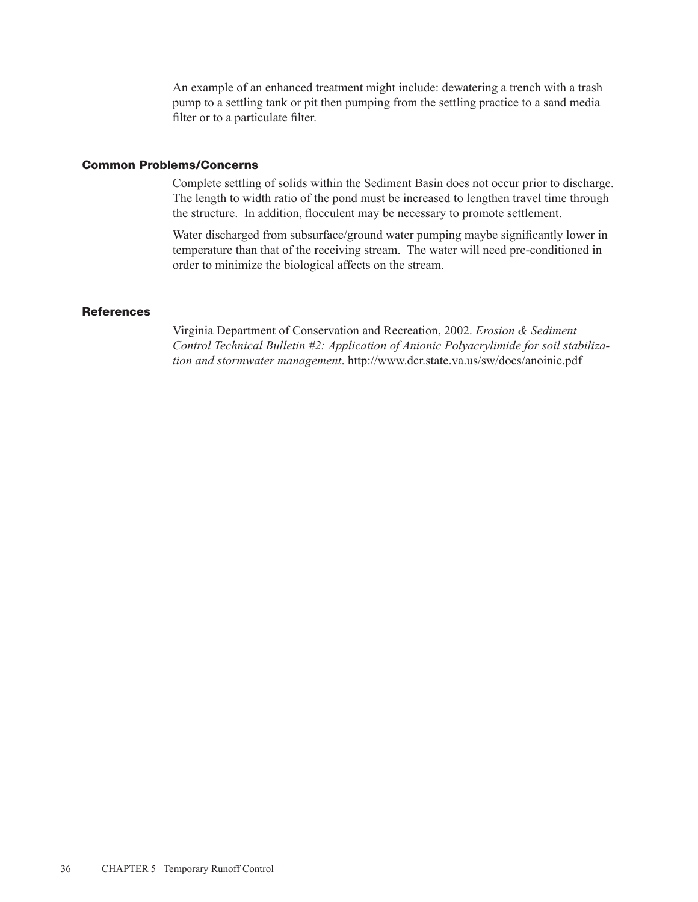An example of an enhanced treatment might include: dewatering a trench with a trash pump to a settling tank or pit then pumping from the settling practice to a sand media filter or to a particulate filter.

## Common Problems/Concerns

Complete settling of solids within the Sediment Basin does not occur prior to discharge. The length to width ratio of the pond must be increased to lengthen travel time through the structure. In addition, flocculent may be necessary to promote settlement.

Water discharged from subsurface/ground water pumping maybe significantly lower in temperature than that of the receiving stream. The water will need pre-conditioned in order to minimize the biological affects on the stream.

## **References**

Virginia Department of Conservation and Recreation, 2002. *Erosion & Sediment Control Technical Bulletin #2: Application of Anionic Polyacrylimide for soil stabilization and stormwater management*. http://www.dcr.state.va.us/sw/docs/anoinic.pdf